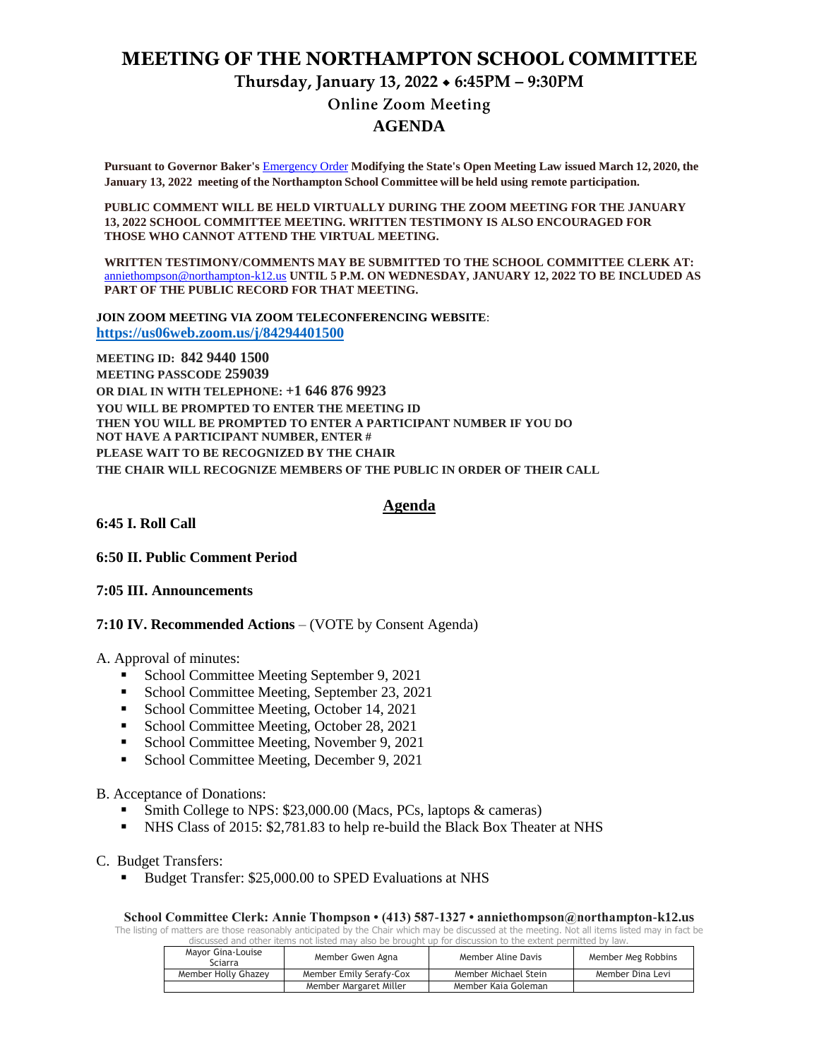# **MEETING OF THE NORTHAMPTON SCHOOL COMMITTEE**

# **Thursday, January 13, 2022 6:45PM – 9:30PM Online Zoom Meeting**

### **AGENDA**

**Pursuant to Governor Baker's** [Emergency Order](about:blank) **Modifying the State's Open Meeting Law issued March 12, 2020, the January 13, 2022 meeting of the Northampton School Committee will be held using remote participation.**

**PUBLIC COMMENT WILL BE HELD VIRTUALLY DURING THE ZOOM MEETING FOR THE JANUARY 13, 2022 SCHOOL COMMITTEE MEETING. WRITTEN TESTIMONY IS ALSO ENCOURAGED FOR THOSE WHO CANNOT ATTEND THE VIRTUAL MEETING.**

**WRITTEN TESTIMONY/COMMENTS MAY BE SUBMITTED TO THE SCHOOL COMMITTEE CLERK AT:** [anniethompson@northampton-k12.us](about:blank) **UNTIL 5 P.M. ON WEDNESDAY, JANUARY 12, 2022 TO BE INCLUDED AS PART OF THE PUBLIC RECORD FOR THAT MEETING.**

**JOIN ZOOM MEETING VIA ZOOM TELECONFERENCING WEBSITE**: **<https://us06web.zoom.us/j/84294401500>**

**MEETING ID: 842 9440 1500 MEETING PASSCODE 259039 OR DIAL IN WITH TELEPHONE: +1 646 876 9923 YOU WILL BE PROMPTED TO ENTER THE MEETING ID THEN YOU WILL BE PROMPTED TO ENTER A PARTICIPANT NUMBER IF YOU DO NOT HAVE A PARTICIPANT NUMBER, ENTER # PLEASE WAIT TO BE RECOGNIZED BY THE CHAIR THE CHAIR WILL RECOGNIZE MEMBERS OF THE PUBLIC IN ORDER OF THEIR CALL**

### **Agenda**

**6:45 I. Roll Call** 

**6:50 II. Public Comment Period** 

#### **7:05 III. Announcements**

**7:10 IV. Recommended Actions** – (VOTE by Consent Agenda)

A. Approval of minutes:

- School Committee Meeting September 9, 2021
- School Committee Meeting, September 23, 2021
- School Committee Meeting, October 14, 2021
- School Committee Meeting, October 28, 2021
- **School Committee Meeting, November 9, 2021**
- School Committee Meeting, December 9, 2021

#### B. Acceptance of Donations:

- Smith College to NPS: \$23,000.00 (Macs, PCs, laptops & cameras)
- NHS Class of 2015: \$2,781.83 to help re-build the Black Box Theater at NHS
- C. Budget Transfers:
	- Budget Transfer: \$25,000.00 to SPED Evaluations at NHS

#### **School Committee Clerk: Annie Thompson • (413) 587-1327 • anniethompson@northampton-k12.us**

The listing of matters are those reasonably anticipated by the Chair which may be discussed at the meeting. Not all items listed may in fact be discussed and other items not listed may also be brought up for discussion to the extent permitted by law.

| Mayor Gina-Louise<br>Sciarra | Member Gwen Agna        | Member Aline Davis   | Member Meg Robbins |
|------------------------------|-------------------------|----------------------|--------------------|
| Member Holly Ghazey          | Member Emily Serafy-Cox | Member Michael Stein | Member Dina Levi   |
|                              | Member Margaret Miller  | Member Kaia Goleman  |                    |